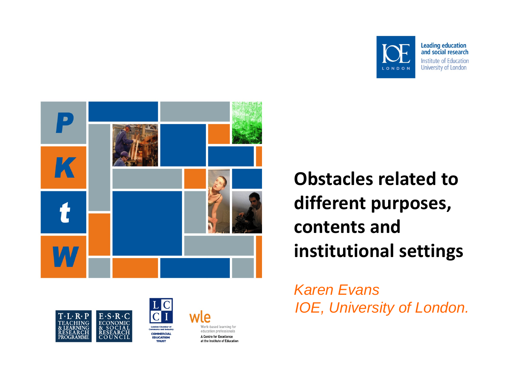



#### **Obstacles related todifferent purposes, contents andinstitutional settings**

*Karen EvansIOE, University of London.*





Work-based learning for education professionals A Centre for Excellence<br>at the Institute of Educatior e for Excellence<br>Istitute of Education

wle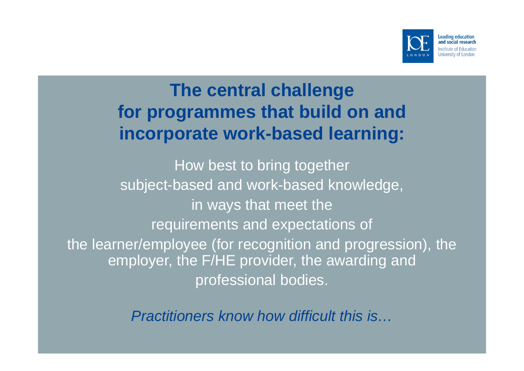

#### **The central challenge for programmes that build on and incorporate work-based learning:**

How best to bring together subject-based and work-based knowledge, in ways that meet the requirements and expectations of the learner/employee (for recognition and progression), the employer, the F/HE provider, the awarding and professional bodies.

*Practitioners know how difficult this is…*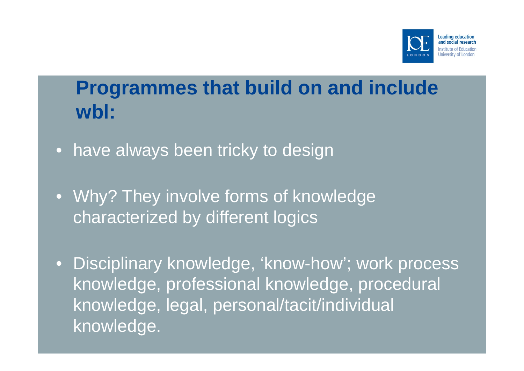

#### **Programmes that build on and include wbl:**

- have always been tricky to design
- • Why? They involve forms of knowledge characterized by different logics
- • Disciplinary knowledge, 'know-how'; work process knowledge, professional knowledge, procedural knowledge, legal, personal/tacit/individual knowledge.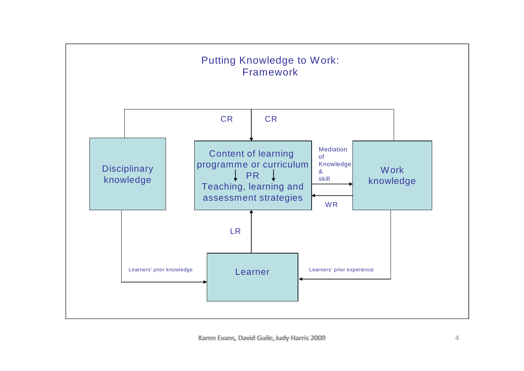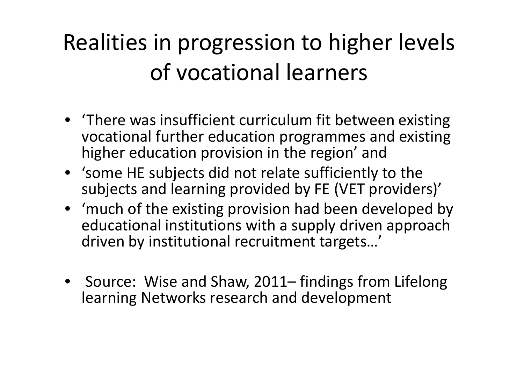## Realities in progression to higher levels of vocational learners

- 'There was insufficient curriculum fit between existing vocational further education programmes and existing higher education provision in the region' and
- 'some HE subjects did not relate sufficiently to the subjects and learning provided by FE (VET providers)'
- 'much of the existing provision had been developed by educational institutions with <sup>a</sup> supply driven approach driven by institutional recruitment targets…'
- Source: Wise and Shaw, 2011– findings from Lifelong learning Networks research and development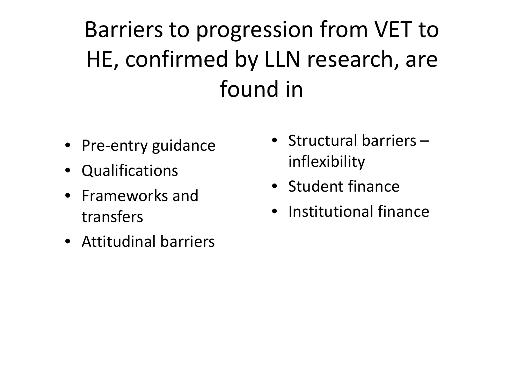Barriers to progression from VET to HE, confirmed by LLN research, are found in

- Pre-entry guidance
- Qualifications
- Frameworks andtransfers
- Attitudinal barriers
- Structural barriers –inflexibility
- Student finance
- Institutional finance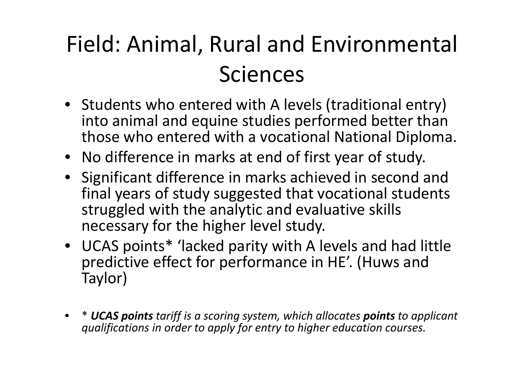## Field: Animal, Rural and Environmental Sciences

- Students who entered with A levels (traditional entry) into animal and equine studies performed better than those who entered with <sup>a</sup> vocational National Diploma.
- No difference in marks at end of first year of study.
- Significant difference in marks achieved in second and final years of study suggested that vocational students struggled with the analytic and evaluative skills necessary for the higher level study.
- UCAS points\* 'lacked parity with A levels and had little predictive effect for performance in HE'. (Huws and Taylor)
- • \* *UCAS points tariff is <sup>a</sup> scoring system, which allocates points to applicant qualifications in order to apply for entry to higher education courses.*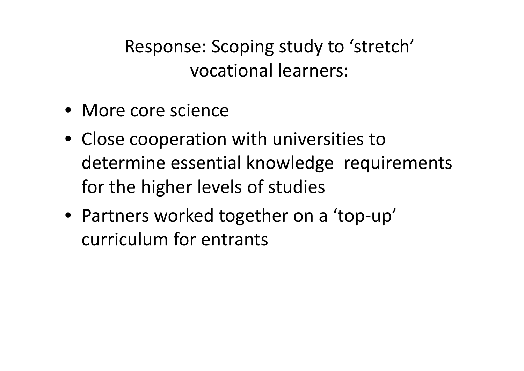Response: Scoping study to 'stretch' vocational learners:

- More core science
- Close cooperation with universities to determine essential knowledge requirements for the higher levels of studies
- Partners worked together on <sup>a</sup> 'top‐up' curriculum for entrants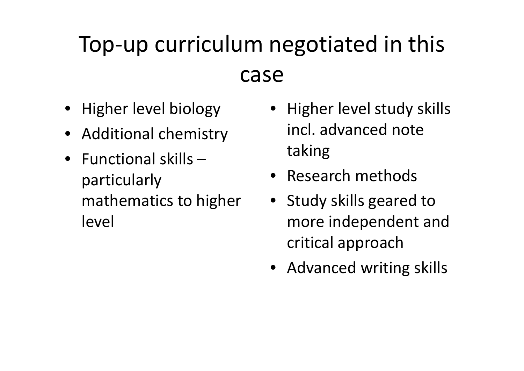## Top‐up curriculum negotiated in this case

- Higher level biology
- Additional chemistry
- Functional skills –particularly mathematics to higher level
- Higher level study skills incl. advanced note taking
- Research methods
- Study skills geared to more independent and critical approach
- Advanced writing skills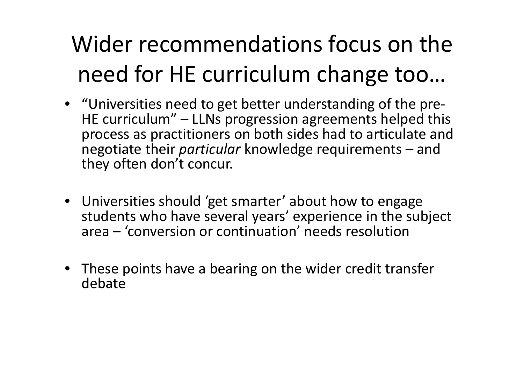# Wider recommendations focus on the need for HE curriculum change too…

- "Universities need to get better understanding of the pre‐ HE curriculum" – LLNs progression agreements helped this process as practitioners on both sides had to articulate and negotiate their *particular* knowledge requirements – and they often don't concur.
- Universities should 'get smarter' about how to engage students who have several years' experience in the subject area – 'conversion or continuation' needs resolution
- These points have <sup>a</sup> bearing on the wider credit transfer debate